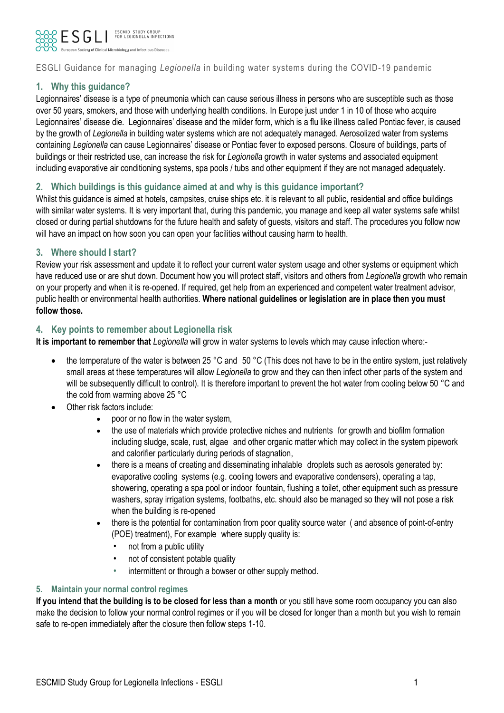

## ESGLI Guidance for managing *Legionella* in building water systems during the COVID-19 pandemic

## **1. Why this guidance?**

Legionnaires' disease is a type of pneumonia which can cause serious illness in persons who are susceptible such as those over 50 years, smokers, and those with underlying health conditions. In Europe just under 1 in 10 of those who acquire Legionnaires' disease die*.* Legionnaires' disease and the milder form, which is a flu like illness called Pontiac fever, is caused by the growth of *Legionella* in building water systems which are not adequately managed. Aerosolized water from systems containing *Legionella* can cause Legionnaires' disease or Pontiac fever to exposed persons. Closure of buildings, parts of buildings or their restricted use, can increase the risk for *Legionella* growth in water systems and associated equipment including evaporative air conditioning systems, spa pools / tubs and other equipment if they are not managed adequately.

## **2. Which buildings is this guidance aimed at and why is this guidance important?**

Whilst this guidance is aimed at hotels, campsites, cruise ships etc. it is relevant to all public, residential and office buildings with similar water systems. It is very important that, during this pandemic, you manage and keep all water systems safe whilst closed or during partial shutdowns for the future health and safety of guests, visitors and staff. The procedures you follow now will have an impact on how soon you can open your facilities without causing harm to health.

### **3. Where should I start?**

Review your risk assessment and update it to reflect your current water system usage and other systems or equipment which have reduced use or are shut down. Document how you will protect staff, visitors and others from *Legionella* growth who remain on your property and when it is re-opened. If required, get help from an experienced and competent water treatment advisor, public health or environmental health authorities. **Where national guidelines or legislation are in place then you must follow those.** 

### **4. Key points to remember about Legionella risk**

**It is important to remember that** *Legionella* will grow in water systems to levels which may cause infection where:-

- the temperature of the water is between 25 °C and 50 °C (This does not have to be in the entire system, just relatively small areas at these temperatures will allow *Legionella* to grow and they can then infect other parts of the system and will be subsequently difficult to control). It is therefore important to prevent the hot water from cooling below 50 °C and the cold from warming above 25 °C
- Other risk factors include:
	- poor or no flow in the water system,
	- the use of materials which provide protective niches and nutrients for growth and biofilm formation including sludge, scale, rust, algae and other organic matter which may collect in the system pipework and calorifier particularly during periods of stagnation,
	- there is a means of creating and disseminating inhalable droplets such as aerosols generated by: evaporative cooling systems (e.g. cooling towers and evaporative condensers), operating a tap, showering, operating a spa pool or indoor fountain, flushing a toilet, other equipment such as pressure washers, spray irrigation systems, footbaths, etc. should also be managed so they will not pose a risk when the building is re-opened
	- there is the potential for contamination from poor quality source water (and absence of point-of-entry (POE) treatment), For example where supply quality is:
		- not from a public utility
		- not of consistent potable quality
		- intermittent or through a bowser or other supply method.

#### **5. Maintain your normal control regimes**

If you intend that the building is to be closed for less than a month or you still have some room occupancy you can also make the decision to follow your normal control regimes or if you will be closed for longer than a month but you wish to remain safe to re-open immediately after the closure then follow steps 1-10.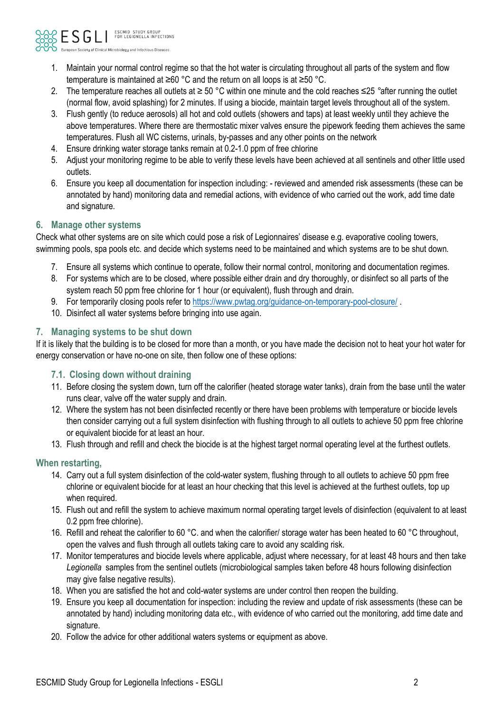

- 1. Maintain your normal control regime so that the hot water is circulating throughout all parts of the system and flow temperature is maintained at ≥60 °C and the return on all loops is at ≥50 °C.
- 2. The temperature reaches all outlets at ≥ 50 °C within one minute and the cold reaches ≤25 *°*after running the outlet (normal flow, avoid splashing) for 2 minutes. If using a biocide, maintain target levels throughout all of the system.
- 3. Flush gently (to reduce aerosols) all hot and cold outlets (showers and taps) at least weekly until they achieve the above temperatures. Where there are thermostatic mixer valves ensure the pipework feeding them achieves the same temperatures. Flush all WC cisterns, urinals, by-passes and any other points on the network
- 4. Ensure drinking water storage tanks remain at 0.2-1.0 ppm of free chlorine
- 5. Adjust your monitoring regime to be able to verify these levels have been achieved at all sentinels and other little used outlets.
- 6. Ensure you keep all documentation for inspection including: reviewed and amended risk assessments (these can be annotated by hand) monitoring data and remedial actions, with evidence of who carried out the work, add time date and signature.

## **6. Manage other systems**

Check what other systems are on site which could pose a risk of Legionnaires' disease e.g. evaporative cooling towers, swimming pools, spa pools etc. and decide which systems need to be maintained and which systems are to be shut down.

- 7. Ensure all systems which continue to operate, follow their normal control, monitoring and documentation regimes.
- 8. For systems which are to be closed, where possible either drain and dry thoroughly, or disinfect so all parts of the system reach 50 ppm free chlorine for 1 hour (or equivalent), flush through and drain.
- 9. For temporarily closing pools refer t[o https://www.pwtag.org/guidance-on-temporary-pool-closure/](https://www.pwtag.org/guidance-on-temporary-pool-closure/) .
- 10. Disinfect all water systems before bringing into use again.

## **7. Managing systems to be shut down**

If it is likely that the building is to be closed for more than a month, or you have made the decision not to heat your hot water for energy conservation or have no-one on site, then follow one of these options:

## **7.1. Closing down without draining**

- 11. Before closing the system down, turn off the calorifier (heated storage water tanks), drain from the base until the water runs clear, valve off the water supply and drain.
- 12. Where the system has not been disinfected recently or there have been problems with temperature or biocide levels then consider carrying out a full system disinfection with flushing through to all outlets to achieve 50 ppm free chlorine or equivalent biocide for at least an hour.
- 13. Flush through and refill and check the biocide is at the highest target normal operating level at the furthest outlets.

### **When restarting,**

- 14. Carry out a full system disinfection of the cold-water system, flushing through to all outlets to achieve 50 ppm free chlorine or equivalent biocide for at least an hour checking that this level is achieved at the furthest outlets, top up when required.
- 15. Flush out and refill the system to achieve maximum normal operating target levels of disinfection (equivalent to at least 0.2 ppm free chlorine).
- 16. Refill and reheat the calorifier to 60 °C. and when the calorifier/ storage water has been heated to 60 °C throughout, open the valves and flush through all outlets taking care to avoid any scalding risk.
- 17. Monitor temperatures and biocide levels where applicable, adjust where necessary, for at least 48 hours and then take *Legionella* samples from the sentinel outlets (microbiological samples taken before 48 hours following disinfection may give false negative results).
- 18. When you are satisfied the hot and cold-water systems are under control then reopen the building.
- 19. Ensure you keep all documentation for inspection: including the review and update of risk assessments (these can be annotated by hand) including monitoring data etc., with evidence of who carried out the monitoring, add time date and signature.
- 20. Follow the advice for other additional waters systems or equipment as above.